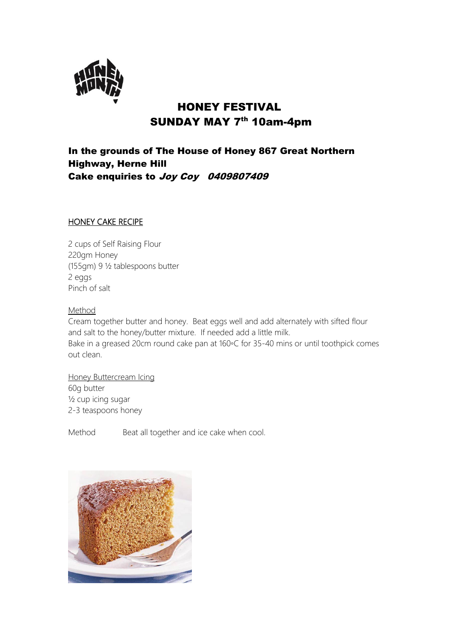

# HONEY FESTIVAL SUNDAY MAY 7<sup>th</sup> 10am-4pm

## In the grounds of The House of Honey 867 Great Northern Highway, Herne Hill Cake enquiries to Joy Coy 0409807409

#### HONEY CAKE RECIPE

2 cups of Self Raising Flour 220gm Honey (155gm) 9 ½ tablespoons butter 2 eggs Pinch of salt

Method

Cream together butter and honey. Beat eggs well and add alternately with sifted flour and salt to the honey/butter mixture. If needed add a little milk. Bake in a greased 20cm round cake pan at 160◦C for 35-40 mins or until toothpick comes out clean.

Honey Buttercream Icing 60g butter ½ cup icing sugar 2-3 teaspoons honey

Method Beat all together and ice cake when cool.